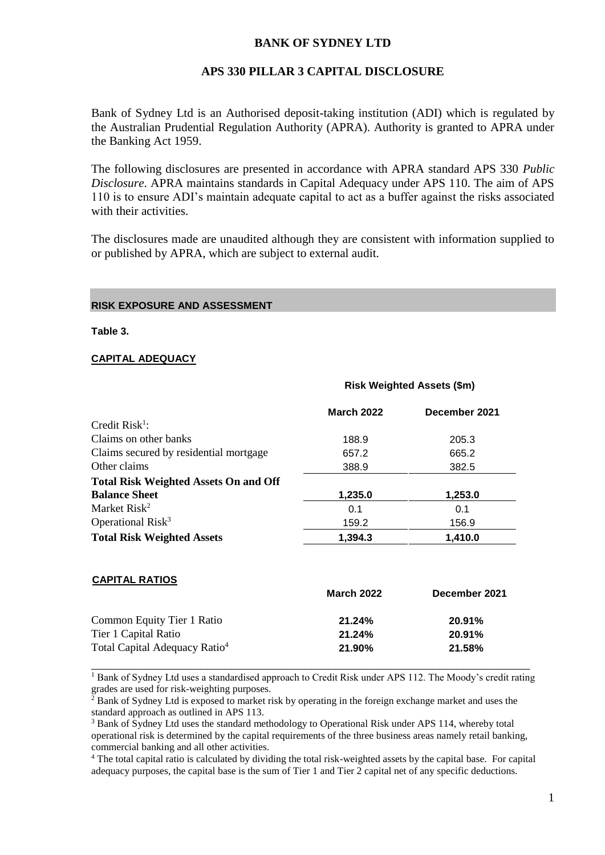### **BANK OF SYDNEY LTD**

### **APS 330 PILLAR 3 CAPITAL DISCLOSURE**

Bank of Sydney Ltd is an Authorised deposit-taking institution (ADI) which is regulated by the Australian Prudential Regulation Authority (APRA). Authority is granted to APRA under the Banking Act 1959.

The following disclosures are presented in accordance with APRA standard APS 330 *Public Disclosure*. APRA maintains standards in Capital Adequacy under APS 110. The aim of APS 110 is to ensure ADI's maintain adequate capital to act as a buffer against the risks associated with their activities.

The disclosures made are unaudited although they are consistent with information supplied to or published by APRA, which are subject to external audit.

**Risk Weighted Assets (\$m)**

#### **RISK EXPOSURE AND ASSESSMENT**

**Table 3.**

#### **CAPITAL ADEQUACY**

|                                              | <b>March 2022</b> | December 2021 |
|----------------------------------------------|-------------------|---------------|
| Credit $Risk1$ :                             |                   |               |
| Claims on other banks                        | 188.9             | 205.3         |
| Claims secured by residential mortgage       | 657.2             | 665.2         |
| Other claims                                 | 388.9             | 382.5         |
| <b>Total Risk Weighted Assets On and Off</b> |                   |               |
| <b>Balance Sheet</b>                         | 1,235.0           | 1,253.0       |
| Market Risk <sup>2</sup>                     | 0.1               | 0.1           |
| Operational Risk <sup>3</sup>                | 159.2             | 156.9         |
| <b>Total Risk Weighted Assets</b>            | 1,394.3           | 1,410.0       |

#### **CAPITAL RATIOS**

|                                           | <b>March 2022</b> | December 2021 |
|-------------------------------------------|-------------------|---------------|
| Common Equity Tier 1 Ratio                | 21.24%            | 20.91%        |
| Tier 1 Capital Ratio                      | 21.24%            | 20.91%        |
| Total Capital Adequacy Ratio <sup>4</sup> | 21.90%            | 21.58%        |
|                                           |                   |               |

<sup>1</sup> Bank of Sydney Ltd uses a standardised approach to Credit Risk under APS 112. The Moody's credit rating grades are used for risk-weighting purposes.

<sup>2</sup> Bank of Sydney Ltd is exposed to market risk by operating in the foreign exchange market and uses the standard approach as outlined in APS 113.

<sup>3</sup> Bank of Sydney Ltd uses the standard methodology to Operational Risk under APS 114, whereby total operational risk is determined by the capital requirements of the three business areas namely retail banking, commercial banking and all other activities.

<sup>4</sup> The total capital ratio is calculated by dividing the total risk-weighted assets by the capital base. For capital adequacy purposes, the capital base is the sum of Tier 1 and Tier 2 capital net of any specific deductions.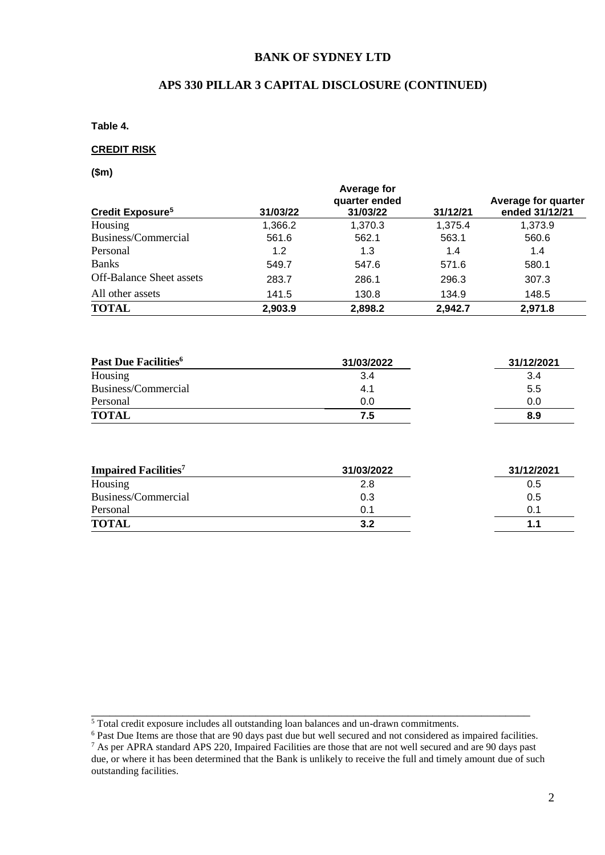### **BANK OF SYDNEY LTD**

### **APS 330 PILLAR 3 CAPITAL DISCLOSURE (CONTINUED)**

**Table 4.** 

#### **CREDIT RISK**

**(\$m)**

| Credit Exposure <sup>5</sup>    | 31/03/22 | Average for<br>quarter ended<br>31/03/22 | 31/12/21 | Average for quarter<br>ended 31/12/21 |
|---------------------------------|----------|------------------------------------------|----------|---------------------------------------|
| Housing                         | 1,366.2  | 1,370.3                                  | 1,375.4  | 1,373.9                               |
| Business/Commercial             | 561.6    | 562.1                                    | 563.1    | 560.6                                 |
| Personal                        | 1.2      | 1.3                                      | 1.4      | 1.4                                   |
| <b>Banks</b>                    | 549.7    | 547.6                                    | 571.6    | 580.1                                 |
| <b>Off-Balance Sheet assets</b> | 283.7    | 286.1                                    | 296.3    | 307.3                                 |
| All other assets                | 141.5    | 130.8                                    | 134.9    | 148.5                                 |
| <b>TOTAL</b>                    | 2,903.9  | 2,898.2                                  | 2,942.7  | 2,971.8                               |

| Past Due Facilities <sup>6</sup> | 31/03/2022 | 31/12/2021 |
|----------------------------------|------------|------------|
| Housing                          | 3.4        | 3.4        |
| Business/Commercial              | 4.1        | 5.5        |
| Personal                         | 0.0        | 0.0        |
| <b>TOTAL</b>                     | 7.5        | 8.9        |

| <b>Impaired Facilities</b> <sup>7</sup> | 31/03/2022 | 31/12/2021 |
|-----------------------------------------|------------|------------|
| Housing                                 | 2.8        | 0.5        |
| Business/Commercial                     | 0.3        | 0.5        |
| Personal                                | 0.1        | 0.1        |
| <b>TOTAL</b>                            | 3.2        | 1.1        |

<sup>6</sup> Past Due Items are those that are 90 days past due but well secured and not considered as impaired facilities.

\_\_\_\_\_\_\_\_\_\_\_\_\_\_\_\_\_\_\_\_\_\_\_\_\_\_\_\_\_\_\_\_\_\_\_\_\_\_\_\_\_\_\_\_\_\_\_\_\_\_\_\_\_\_\_\_\_\_\_\_\_\_\_\_\_\_\_\_\_\_\_\_

<sup>&</sup>lt;sup>5</sup> Total credit exposure includes all outstanding loan balances and un-drawn commitments.

 $7$  As per APRA standard APS 220, Impaired Facilities are those that are not well secured and are 90 days past due, or where it has been determined that the Bank is unlikely to receive the full and timely amount due of such outstanding facilities.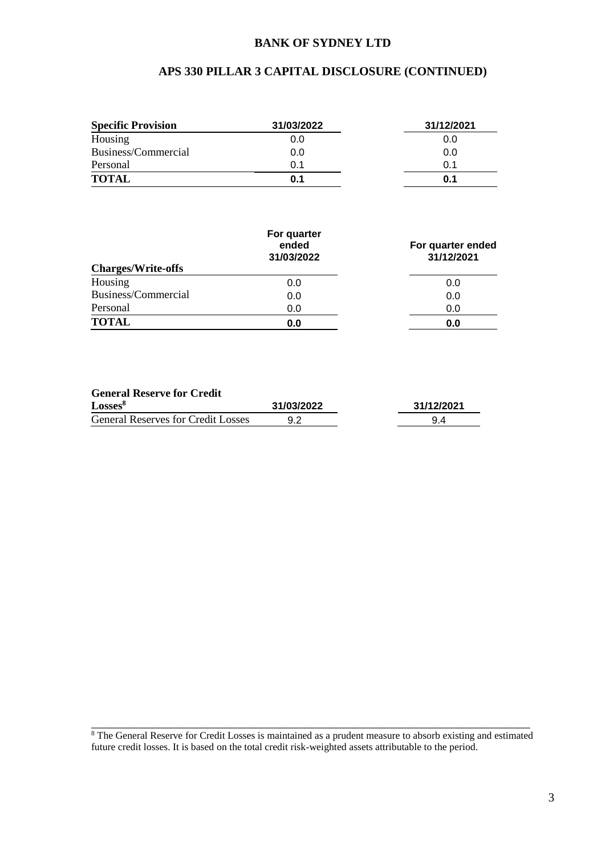### **BANK OF SYDNEY LTD**

# **APS 330 PILLAR 3 CAPITAL DISCLOSURE (CONTINUED)**

| <b>Specific Provision</b> | 31/03/2022 | 31/12/2021 |
|---------------------------|------------|------------|
| Housing                   | 0.0        | 0.0        |
| Business/Commercial       | 0.0        | 0.0        |
| Personal                  | 0.1        | 0.1        |
| <b>TOTAL</b>              | 0.1        | 0.1        |

| <b>Charges/Write-offs</b> | For quarter<br>ended<br>31/03/2022 | For quarter ended<br>31/12/2021 |
|---------------------------|------------------------------------|---------------------------------|
| Housing                   | 0.0                                | 0.0                             |
| Business/Commercial       | 0.0                                | 0.0                             |
| Personal                  | 0.0                                | 0.0                             |
| <b>TOTAL</b>              | 0.0                                | 0.0                             |

#### **General Reserve for Credit**

| Losses <sup>8</sup>                       | 31/03/2022 | 31/12/2021 |
|-------------------------------------------|------------|------------|
| <b>General Reserves for Credit Losses</b> |            |            |

\_\_\_\_\_\_\_\_\_\_\_\_\_\_\_\_\_\_\_\_\_\_\_\_\_\_\_\_\_\_\_\_\_\_\_\_\_\_\_\_\_\_\_\_\_\_\_\_\_\_\_\_\_\_\_\_\_\_\_\_\_\_\_\_\_\_\_\_\_\_\_\_ <sup>8</sup> The General Reserve for Credit Losses is maintained as a prudent measure to absorb existing and estimated future credit losses. It is based on the total credit risk-weighted assets attributable to the period.